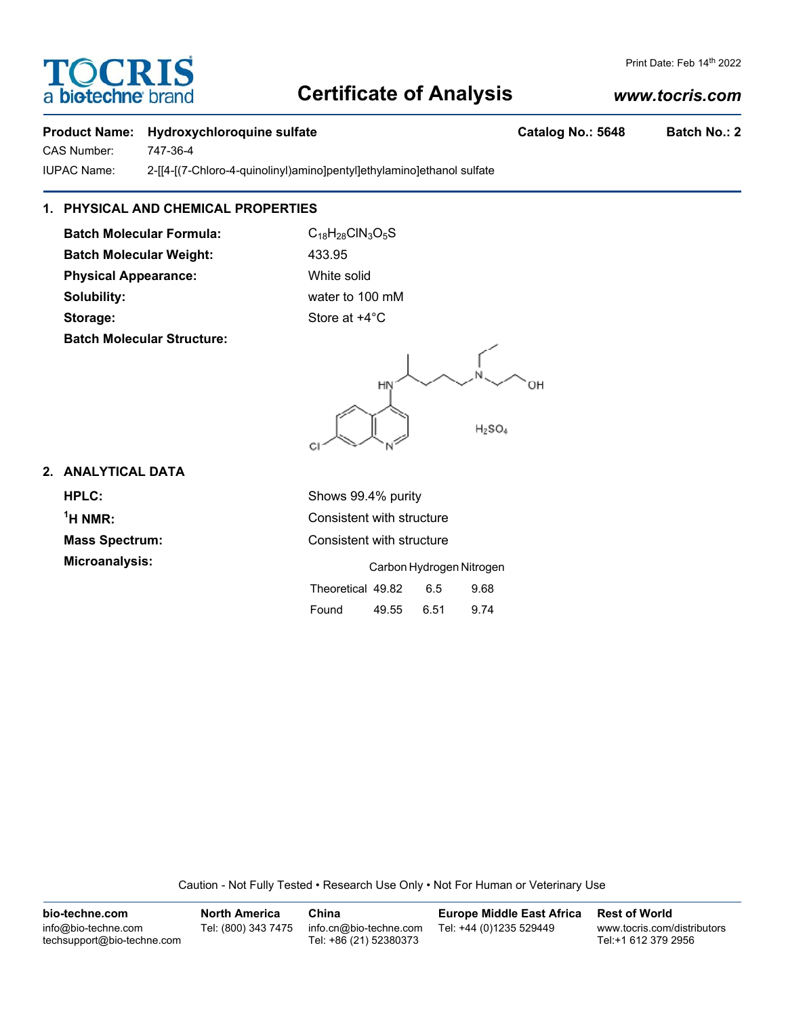# **Certificate of Analysis**

## *www.tocris.com*

Print Date: Feb 14th 2022

## **Product Name:** Hydroxychloroquine sulfate **Catalog No.: 5648** Batch No.: 2

CAS Number: 747-36-4

IUPAC Name: 2-[[4-[(7-Chloro-4-quinolinyl)amino]pentyl]ethylamino]ethanol sulfate

## **1. PHYSICAL AND CHEMICAL PROPERTIES**

**Batch Molecular Formula:** C<sub>18</sub>H<sub>28</sub>ClN<sub>3</sub>O<sub>5</sub>S **Batch Molecular Weight:** 433.95 **Physical Appearance:** White solid **Solubility:** water to 100 mM **Storage:** Store at  $+4^{\circ}$ C **Batch Molecular Structure:**

OН HN  $H<sub>2</sub>SO<sub>4</sub>$ 

### **2. ANALYTICAL DATA**

**HPLC:** Shows 99.4% purity  $<sup>1</sup>H NMR$ :</sup> **Mass Spectrum:** Consistent with structure **Microanalysis:** 

**Consistent with structure** 

|                   | Carbon Hydrogen Nitrogen |      |      |  |
|-------------------|--------------------------|------|------|--|
| Theoretical 49.82 |                          | 6.5  | 9.68 |  |
| Found             | 49.55                    | 6.51 | 9.74 |  |

Caution - Not Fully Tested • Research Use Only • Not For Human or Veterinary Use

| bio-techne.com                                    | <b>North America</b> | China                                            | <b>Europe Middle East Africa</b> | <b>Rest of World</b>                               |
|---------------------------------------------------|----------------------|--------------------------------------------------|----------------------------------|----------------------------------------------------|
| info@bio-techne.com<br>techsupport@bio-techne.com | Tel: (800) 343 7475  | info.cn@bio-techne.com<br>Tel: +86 (21) 52380373 | Tel: +44 (0)1235 529449          | www.tocris.com/distributors<br>Tel:+1 612 379 2956 |